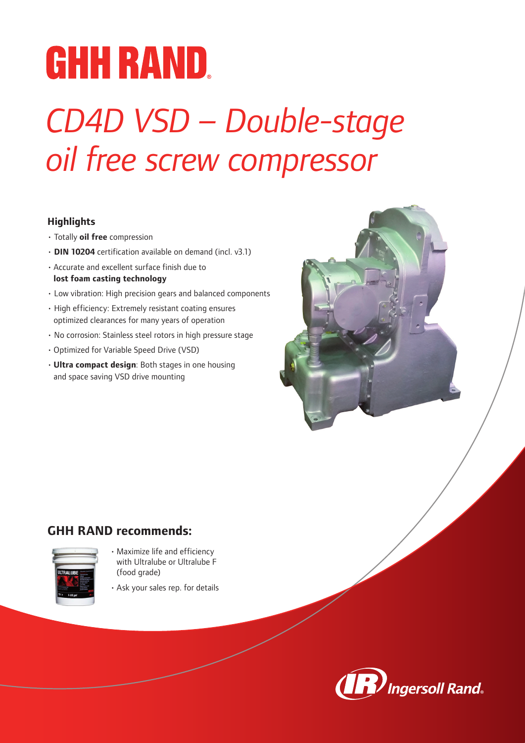# **GHH RAND.**

### *CD4D VSD – Double-stage oil free screw compressor*

### **Highlights**

- Totally **oil free** compression
- **DIN 10204** certification available on demand (incl. v3.1)
- Accurate and excellent surface finish due to **lost foam casting technology**
- Low vibration: High precision gears and balanced components
- High efficiency: Extremely resistant coating ensures optimized clearances for many years of operation
- No corrosion: Stainless steel rotors in high pressure stage
- Optimized for Variable Speed Drive (VSD)
- **Ultra compact design**: Both stages in one housing and space saving VSD drive mounting



### **GHH RAND recommends:**



- Maximize life and efficiency with Ultralube or Ultralube F (food grade)
- Ask your sales rep. for details